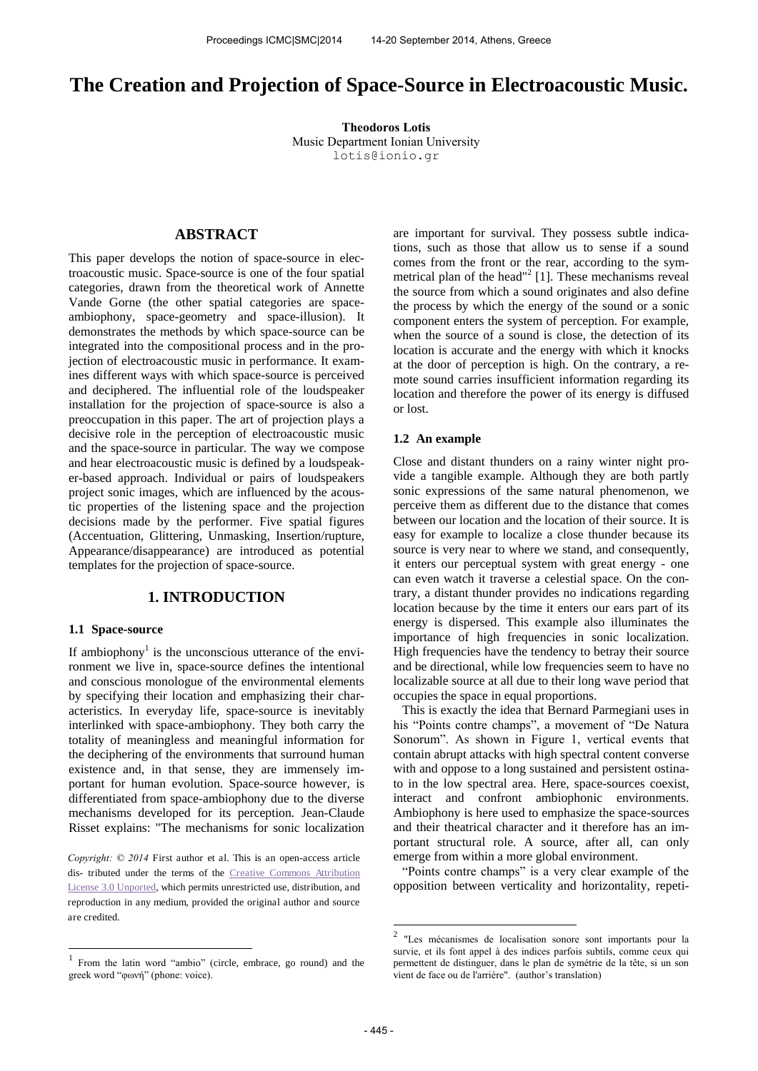# **The Creation and Projection of Space-Source in Electroacoustic Music.**

**Theodoros Lotis**  Music Department Ionian University [lotis@ionio.gr](mailto:author2@smcnetwork.org)

# **ABSTRACT**

This paper develops the notion of space-source in electroacoustic music. Space-source is one of the four spatial categories, drawn from the theoretical work of Annette Vande Gorne (the other spatial categories are spaceambiophony, space-geometry and space-illusion). It demonstrates the methods by which space-source can be integrated into the compositional process and in the projection of electroacoustic music in performance. It examines different ways with which space-source is perceived and deciphered. The influential role of the loudspeaker installation for the projection of space-source is also a preoccupation in this paper. The art of projection plays a decisive role in the perception of electroacoustic music and the space-source in particular. The way we compose and hear electroacoustic music is defined by a loudspeaker-based approach. Individual or pairs of loudspeakers project sonic images, which are influenced by the acoustic properties of the listening space and the projection decisions made by the performer. Five spatial figures (Accentuation, Glittering, Unmasking, Insertion/rupture, Appearance/disappearance) are introduced as potential templates for the projection of space-source.

# **1. INTRODUCTION**

### **1.1 Space-source**

If ambiophony<sup>1</sup> is the unconscious utterance of the environment we live in, space-source defines the intentional and conscious monologue of the environmental elements by specifying their location and emphasizing their characteristics. In everyday life, space-source is inevitably interlinked with space-ambiophony. They both carry the totality of meaningless and meaningful information for the deciphering of the environments that surround human existence and, in that sense, they are immensely important for human evolution. Space-source however, is differentiated from space-ambiophony due to the diverse mechanisms developed for its perception. Jean-Claude Risset explains: "The mechanisms for sonic localization

*Copyright: © 2014* First author et al. This is an open-access article dis- tributed under the terms of the [Creative Commons Attribution](http://creativecommons.org/licenses/by/3.0/)  [License 3.0 Unported,](http://creativecommons.org/licenses/by/3.0/) which permits unrestricted use, distribution, and reproduction in any medium, provided the original author and source are credited.

are important for survival. They possess subtle indications, such as those that allow us to sense if a sound comes from the front or the rear, according to the symmetrical plan of the head"<sup>2</sup> [1]. These mechanisms reveal the source from which a sound originates and also define the process by which the energy of the sound or a sonic component enters the system of perception. For example, when the source of a sound is close, the detection of its location is accurate and the energy with which it knocks at the door of perception is high. On the contrary, a remote sound carries insufficient information regarding its location and therefore the power of its energy is diffused or lost.

#### **1.2 An example**

Close and distant thunders on a rainy winter night provide a tangible example. Although they are both partly sonic expressions of the same natural phenomenon, we perceive them as different due to the distance that comes between our location and the location of their source. It is easy for example to localize a close thunder because its source is very near to where we stand, and consequently, it enters our perceptual system with great energy - one can even watch it traverse a celestial space. On the contrary, a distant thunder provides no indications regarding location because by the time it enters our ears part of its energy is dispersed. This example also illuminates the importance of high frequencies in sonic localization. High frequencies have the tendency to betray their source and be directional, while low frequencies seem to have no localizable source at all due to their long wave period that occupies the space in equal proportions.

This is exactly the idea that Bernard Parmegiani uses in his "Points contre champs", a movement of "De Natura Sonorum". As shown in Figure 1, vertical events that contain abrupt attacks with high spectral content converse with and oppose to a long sustained and persistent ostinato in the low spectral area. Here, space-sources coexist, interact and confront ambiophonic environments. Ambiophony is here used to emphasize the space-sources and their theatrical character and it therefore has an important structural role. A source, after all, can only emerge from within a more global environment.

"Points contre champs" is a very clear example of the opposition between verticality and horizontality, repeti-

 $\frac{1}{1}$ From the latin word "ambio" (circle, embrace, go round) and the greek word "φωνή" (phone: voice).

 2 "Les mécanismes de localisation sonore sont importants pour la survie, et ils font appel à des indices parfois subtils, comme ceux qui permettent de distinguer, dans le plan de symétrie de la tête, si un son vient de face ou de l'arrière". (author's translation)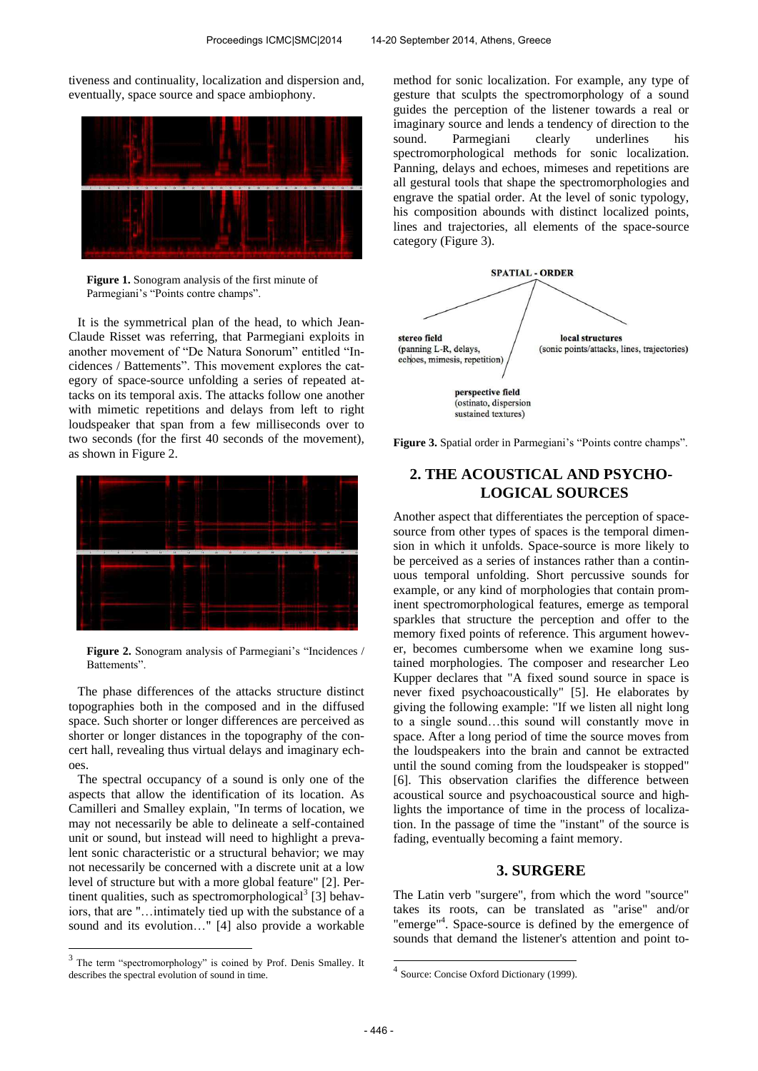tiveness and continuality, localization and dispersion and, eventually, space source and space ambiophony.



**Figure 1.** Sonogram analysis of the first minute of Parmegiani's "Points contre champs".

It is the symmetrical plan of the head, to which Jean-Claude Risset was referring, that Parmegiani exploits in another movement of "De Natura Sonorum" entitled "Incidences / Battements". This movement explores the category of space-source unfolding a series of repeated attacks on its temporal axis. The attacks follow one another with mimetic repetitions and delays from left to right loudspeaker that span from a few milliseconds over to two seconds (for the first 40 seconds of the movement), as shown in Figure 2.



**Figure 2.** Sonogram analysis of Parmegiani's "Incidences / Battements".

The phase differences of the attacks structure distinct topographies both in the composed and in the diffused space. Such shorter or longer differences are perceived as shorter or longer distances in the topography of the concert hall, revealing thus virtual delays and imaginary echoes.

The spectral occupancy of a sound is only one of the aspects that allow the identification of its location. As Camilleri and Smalley explain, "In terms of location, we may not necessarily be able to delineate a self-contained unit or sound, but instead will need to highlight a prevalent sonic characteristic or a structural behavior; we may not necessarily be concerned with a discrete unit at a low level of structure but with a more global feature" [2]. Pertinent qualities, such as spectromorphological<sup>3</sup> [3] behaviors, that are "…intimately tied up with the substance of a sound and its evolution…" [4] also provide a workable method for sonic localization. For example, any type of gesture that sculpts the spectromorphology of a sound guides the perception of the listener towards a real or imaginary source and lends a tendency of direction to the sound. Parmegiani clearly underlines his spectromorphological methods for sonic localization. Panning, delays and echoes, mimeses and repetitions are all gestural tools that shape the spectromorphologies and engrave the spatial order. At the level of sonic typology, his composition abounds with distinct localized points, lines and trajectories, all elements of the space-source category (Figure 3).



**Figure 3.** Spatial order in Parmegiani's "Points contre champs".

# **2. THE ACOUSTICAL AND PSYCHO-LOGICAL SOURCES**

Another aspect that differentiates the perception of spacesource from other types of spaces is the temporal dimension in which it unfolds. Space-source is more likely to be perceived as a series of instances rather than a continuous temporal unfolding. Short percussive sounds for example, or any kind of morphologies that contain prominent spectromorphological features, emerge as temporal sparkles that structure the perception and offer to the memory fixed points of reference. This argument however, becomes cumbersome when we examine long sustained morphologies. The composer and researcher Leo Kupper declares that "A fixed sound source in space is never fixed psychoacoustically" [5]. He elaborates by giving the following example: "If we listen all night long to a single sound…this sound will constantly move in space. After a long period of time the source moves from the loudspeakers into the brain and cannot be extracted until the sound coming from the loudspeaker is stopped" [6]. This observation clarifies the difference between acoustical source and psychoacoustical source and highlights the importance of time in the process of localization. In the passage of time the "instant" of the source is fading, eventually becoming a faint memory.

# **3. SURGERE**

The Latin verb "surgere", from which the word "source" takes its roots, can be translated as "arise" and/or "emerge"<sup>4</sup>. Space-source is defined by the emergence of sounds that demand the listener's attention and point to-

<sup>&</sup>lt;sup>3</sup> The term "spectromorphology" is coined by Prof. Denis Smalley. It describes the spectral evolution of sound in time.

 4 Source: Concise Oxford Dictionary (1999).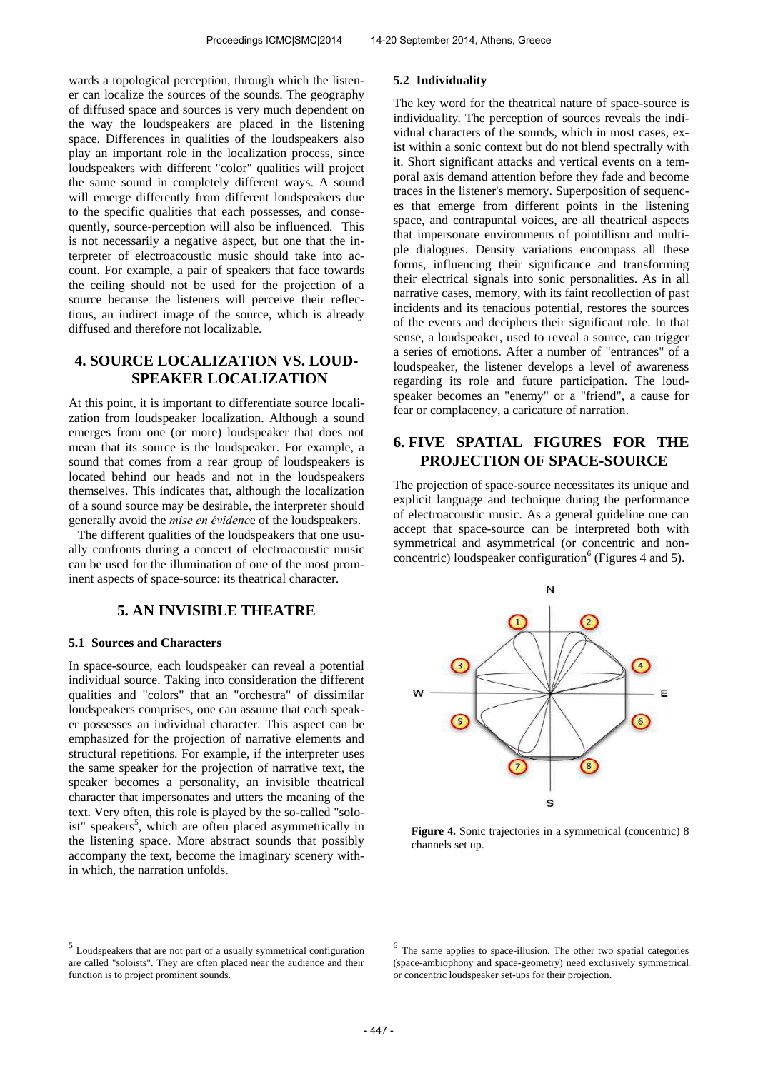wards a topological perception, through which the listener can localize the sources of the sounds. The geography of diffused space and sources is very much dependent on the way the loudspeakers are placed in the listening space. Differences in qualities of the loudspeakers also play an important role in the localization process, since loudspeakers with different "color" qualities will project the same sound in completely different ways. A sound will emerge differently from different loudspeakers due to the specific qualities that each possesses, and consequently, source-perception will also be influenced. This is not necessarily a negative aspect, but one that the interpreter of electroacoustic music should take into account. For example, a pair of speakers that face towards the ceiling should not be used for the projection of a source because the listeners will perceive their reflections, an indirect image of the source, which is already diffused and therefore not localizable.

# **4. SOURCE LOCALIZATION VS. LOUD-SPEAKER LOCALIZATION**

At this point, it is important to differentiate source localization from loudspeaker localization. Although a sound emerges from one (or more) loudspeaker that does not mean that its source is the loudspeaker. For example, a sound that comes from a rear group of loudspeakers is located behind our heads and not in the loudspeakers themselves. This indicates that, although the localization of a sound source may be desirable, the interpreter should generally avoid the *mise en évidenc*e of the loudspeakers.

The different qualities of the loudspeakers that one usually confronts during a concert of electroacoustic music can be used for the illumination of one of the most prominent aspects of space-source: its theatrical character.

# **5. AN INVISIBLE THEATRE**

## **5.1 Sources and Characters**

In space-source, each loudspeaker can reveal a potential individual source. Taking into consideration the different qualities and "colors" that an "orchestra" of dissimilar loudspeakers comprises, one can assume that each speaker possesses an individual character. This aspect can be emphasized for the projection of narrative elements and structural repetitions. For example, if the interpreter uses the same speaker for the projection of narrative text, the speaker becomes a personality, an invisible theatrical character that impersonates and utters the meaning of the text. Very often, this role is played by the so-called "soloist" speakers<sup>5</sup>, which are often placed asymmetrically in the listening space. More abstract sounds that possibly accompany the text, become the imaginary scenery within which, the narration unfolds.

## **5.2 Individuality**

The key word for the theatrical nature of space-source is individuality. The perception of sources reveals the individual characters of the sounds, which in most cases, exist within a sonic context but do not blend spectrally with it. Short significant attacks and vertical events on a temporal axis demand attention before they fade and become traces in the listener's memory. Superposition of sequences that emerge from different points in the listening space, and contrapuntal voices, are all theatrical aspects that impersonate environments of pointillism and multiple dialogues. Density variations encompass all these forms, influencing their significance and transforming their electrical signals into sonic personalities. As in all narrative cases, memory, with its faint recollection of past incidents and its tenacious potential, restores the sources of the events and deciphers their significant role. In that sense, a loudspeaker, used to reveal a source, can trigger a series of emotions. After a number of "entrances" of a loudspeaker, the listener develops a level of awareness regarding its role and future participation. The loudspeaker becomes an "enemy" or a "friend", a cause for fear or complacency, a caricature of narration.

# **6. FIVE SPATIAL FIGURES FOR THE PROJECTION OF SPACE-SOURCE**

The projection of space-source necessitates its unique and explicit language and technique during the performance of electroacoustic music. As a general guideline one can accept that space-source can be interpreted both with symmetrical and asymmetrical (or concentric and nonconcentric) loudspeaker configuration<sup>6</sup> (Figures 4 and 5).



**Figure 4.** Sonic trajectories in a symmetrical (concentric) 8 channels set up.

**.** 

 $\frac{5}{5}$  Loudspeakers that are not part of a usually symmetrical configuration are called "soloists". They are often placed near the audience and their function is to project prominent sounds.

<sup>6</sup> The same applies to space-illusion. The other two spatial categories (space-ambiophony and space-geometry) need exclusively symmetrical or concentric loudspeaker set-ups for their projection.